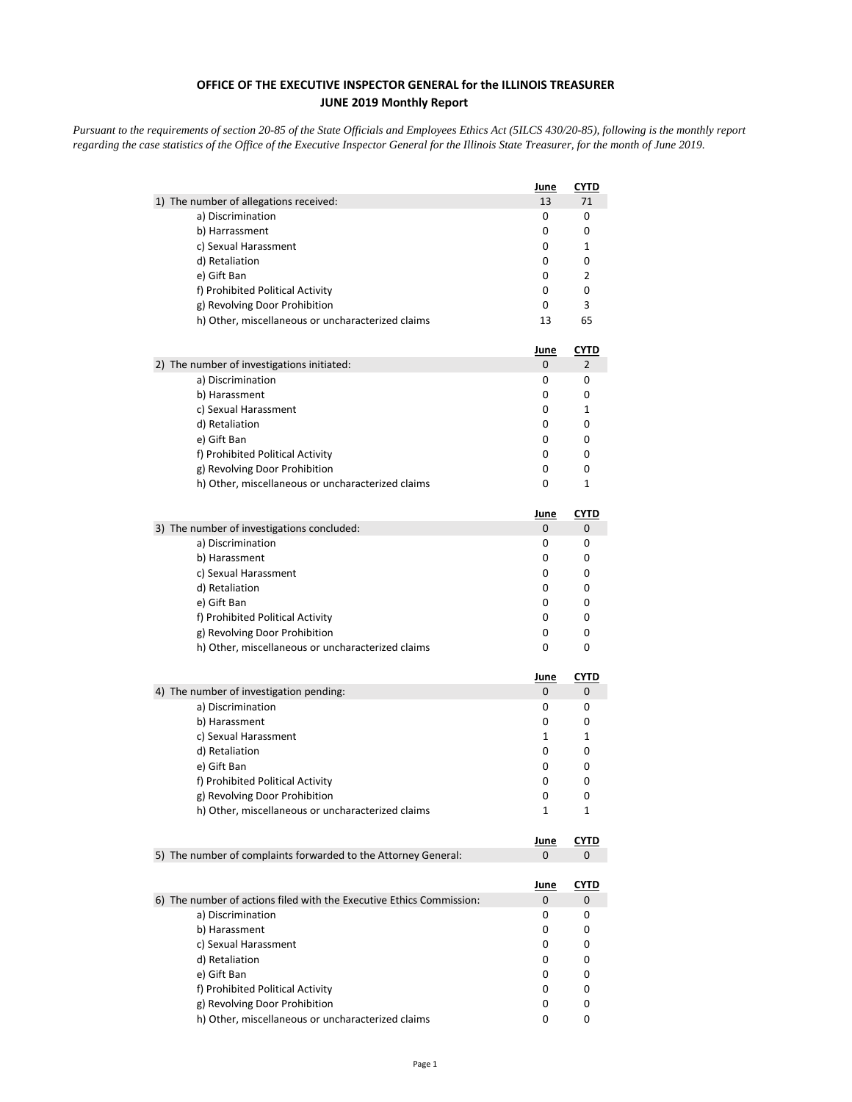## **OFFICE OF THE EXECUTIVE INSPECTOR GENERAL for the ILLINOIS TREASURER JUNE 2019 Monthly Report**

*Pursuant to the requirements of section 20-85 of the State Officials and Employees Ethics Act (5ILCS 430/20-85), following is the monthly report regarding the case statistics of the Office of the Executive Inspector General for the Illinois State Treasurer, for the month of June 2019.* 

|                                                                      | June        | <b>CYTD</b> |
|----------------------------------------------------------------------|-------------|-------------|
| 1) The number of allegations received:                               | 13          | 71          |
| a) Discrimination                                                    | 0           | 0           |
| b) Harrassment                                                       | 0           | 0           |
| c) Sexual Harassment                                                 | 0           | 1           |
| d) Retaliation                                                       | 0           | 0           |
| e) Gift Ban                                                          | 0           | 2           |
| f) Prohibited Political Activity                                     | 0           | 0           |
| g) Revolving Door Prohibition                                        | 0           | 3           |
| h) Other, miscellaneous or uncharacterized claims                    | 13          | 65          |
|                                                                      | <u>June</u> | <u>CYTD</u> |
| 2) The number of investigations initiated:                           | 0           | 2           |
| a) Discrimination                                                    | 0           | 0           |
| b) Harassment                                                        | 0           | 0           |
| c) Sexual Harassment                                                 | 0           | 1           |
| d) Retaliation                                                       | 0           | 0           |
| e) Gift Ban                                                          | 0           | 0           |
| f) Prohibited Political Activity                                     | 0           | 0           |
| g) Revolving Door Prohibition                                        | 0           | 0           |
| h) Other, miscellaneous or uncharacterized claims                    | 0           | 1           |
|                                                                      | <u>June</u> | <b>CYTD</b> |
| 3) The number of investigations concluded:                           | 0           | 0           |
| a) Discrimination                                                    | 0           | 0           |
| b) Harassment                                                        | 0           | 0           |
| c) Sexual Harassment                                                 | 0           | 0           |
| d) Retaliation                                                       | 0           | 0           |
| e) Gift Ban                                                          | 0           | 0           |
| f) Prohibited Political Activity                                     | 0           | 0           |
| g) Revolving Door Prohibition                                        | 0           | 0           |
| h) Other, miscellaneous or uncharacterized claims                    | 0           | 0           |
|                                                                      | <u>June</u> | <b>CYTD</b> |
| 4) The number of investigation pending:                              | 0           | 0           |
| a) Discrimination                                                    | 0           | 0           |
| b) Harassment                                                        | 0           | 0           |
| c) Sexual Harassment                                                 | 1           | 1           |
| d) Retaliation                                                       | 0           | 0           |
| e) Gift Ban                                                          | 0           | 0           |
| f) Prohibited Political Activity                                     | 0           | 0           |
| g) Revolving Door Prohibition                                        | 0           | 0           |
| h) Other, miscellaneous or uncharacterized claims                    | 1           | 1           |
|                                                                      | <u>June</u> | <b>CYTD</b> |
| 5) The number of complaints forwarded to the Attorney General:       | 0           | 0           |
|                                                                      | <u>June</u> | <u>CYTD</u> |
| 6) The number of actions filed with the Executive Ethics Commission: | 0           | 0           |
| a) Discrimination                                                    | 0           | 0           |
| b) Harassment                                                        | 0           | 0           |
| c) Sexual Harassment                                                 | 0           | 0           |
| d) Retaliation                                                       | 0           | 0           |
| e) Gift Ban                                                          | 0           | 0           |
| f) Prohibited Political Activity                                     | 0           | 0           |
| g) Revolving Door Prohibition                                        | 0           | 0           |
| h) Other, miscellaneous or uncharacterized claims                    | 0           | 0           |